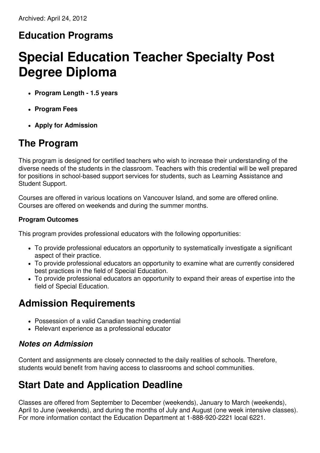### **Education Programs**

# **Special Education Teacher Specialty Post Degree Diploma**

- **Program Length - 1.5 years**
- **Program Fees**
- **Apply for Admission**

#### **The Program**

This program is designed for certified teachers who wish to increase their understanding of the diverse needs of the students in the classroom. Teachers with this credential will be well prepared for positions in school-based support services for students, such as Learning Assistance and Student Support.

Courses are offered in various locations on Vancouver Island, and some are offered online. Courses are offered on weekends and during the summer months.

#### **Program Outcomes**

This program provides professional educators with the following opportunities:

- To provide professional educators an opportunity to systematically investigate a significant aspect of their practice.
- To provide professional educators an opportunity to examine what are currently considered best practices in the field of Special Education.
- To provide professional educators an opportunity to expand their areas of expertise into the field of Special Education.

#### **Admission Requirements**

- Possession of a valid Canadian teaching credential
- Relevant experience as a professional educator

#### *Notes on Admission*

Content and assignments are closely connected to the daily realities of schools. Therefore, students would benefit from having access to classrooms and school communities.

### **Start Date and Application Deadline**

Classes are offered from September to December (weekends), January to March (weekends), April to June (weekends), and during the months of July and August (one week intensive classes). For more information contact the Education Department at 1-888-920-2221 local 6221.